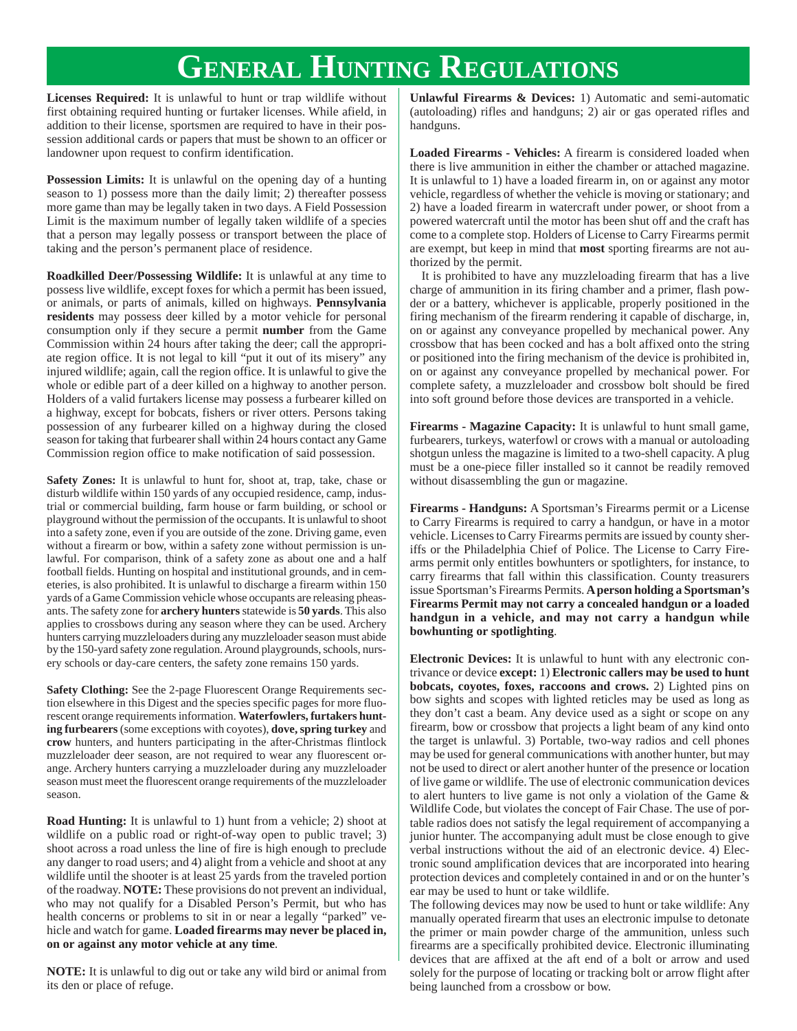## **GENERAL HUNTING REGULATIONS**

**Licenses Required:** It is unlawful to hunt or trap wildlife without first obtaining required hunting or furtaker licenses. While afield, in addition to their license, sportsmen are required to have in their possession additional cards or papers that must be shown to an officer or landowner upon request to confirm identification.

**Possession Limits:** It is unlawful on the opening day of a hunting season to 1) possess more than the daily limit; 2) thereafter possess more game than may be legally taken in two days. A Field Possession Limit is the maximum number of legally taken wildlife of a species that a person may legally possess or transport between the place of taking and the person's permanent place of residence.

**Roadkilled Deer/Possessing Wildlife:** It is unlawful at any time to possess live wildlife, except foxes for which a permit has been issued, or animals, or parts of animals, killed on highways. **Pennsylvania residents** may possess deer killed by a motor vehicle for personal consumption only if they secure a permit **number** from the Game Commission within 24 hours after taking the deer; call the appropriate region office. It is not legal to kill "put it out of its misery" any injured wildlife; again, call the region office. It is unlawful to give the whole or edible part of a deer killed on a highway to another person. Holders of a valid furtakers license may possess a furbearer killed on a highway, except for bobcats, fishers or river otters. Persons taking possession of any furbearer killed on a highway during the closed season for taking that furbearer shall within 24 hours contact any Game Commission region office to make notification of said possession.

**Safety Zones:** It is unlawful to hunt for, shoot at, trap, take, chase or disturb wildlife within 150 yards of any occupied residence, camp, industrial or commercial building, farm house or farm building, or school or playground without the permission of the occupants. It is unlawful to shoot into a safety zone, even if you are outside of the zone. Driving game, even without a firearm or bow, within a safety zone without permission is unlawful. For comparison, think of a safety zone as about one and a half football fields. Hunting on hospital and institutional grounds, and in cemeteries, is also prohibited. It is unlawful to discharge a firearm within 150 yards of a Game Commission vehicle whose occupants are releasing pheasants. The safety zone for **archery hunters** statewide is **50 yards**. This also applies to crossbows during any season where they can be used. Archery hunters carrying muzzleloaders during any muzzleloader season must abide by the 150-yard safety zone regulation. Around playgrounds, schools, nursery schools or day-care centers, the safety zone remains 150 yards.

**Safety Clothing:** See the 2-page Fluorescent Orange Requirements section elsewhere in this Digest and the species specific pages for more fluorescent orange requirements information. **Waterfowlers, furtakers hunting furbearers** (some exceptions with coyotes), **dove, spring turkey** and **crow** hunters, and hunters participating in the after-Christmas flintlock muzzleloader deer season, are not required to wear any fluorescent orange. Archery hunters carrying a muzzleloader during any muzzleloader season must meet the fluorescent orange requirements of the muzzleloader season.

**Road Hunting:** It is unlawful to 1) hunt from a vehicle; 2) shoot at wildlife on a public road or right-of-way open to public travel; 3) shoot across a road unless the line of fire is high enough to preclude any danger to road users; and 4) alight from a vehicle and shoot at any wildlife until the shooter is at least 25 yards from the traveled portion of the roadway. **NOTE:** These provisions do not prevent an individual, who may not qualify for a Disabled Person's Permit, but who has health concerns or problems to sit in or near a legally "parked" vehicle and watch for game. **Loaded firearms may never be placed in, on or against any motor vehicle at any time**.

**NOTE:** It is unlawful to dig out or take any wild bird or animal from its den or place of refuge.

**Unlawful Firearms & Devices:** 1) Automatic and semi-automatic (autoloading) rifles and handguns; 2) air or gas operated rifles and handguns.

**Loaded Firearms - Vehicles:** A firearm is considered loaded when there is live ammunition in either the chamber or attached magazine. It is unlawful to 1) have a loaded firearm in, on or against any motor vehicle, regardless of whether the vehicle is moving or stationary; and 2) have a loaded firearm in watercraft under power, or shoot from a powered watercraft until the motor has been shut off and the craft has come to a complete stop. Holders of License to Carry Firearms permit are exempt, but keep in mind that **most** sporting firearms are not authorized by the permit.

It is prohibited to have any muzzleloading firearm that has a live charge of ammunition in its firing chamber and a primer, flash powder or a battery, whichever is applicable, properly positioned in the firing mechanism of the firearm rendering it capable of discharge, in, on or against any conveyance propelled by mechanical power. Any crossbow that has been cocked and has a bolt affixed onto the string or positioned into the firing mechanism of the device is prohibited in, on or against any conveyance propelled by mechanical power. For complete safety, a muzzleloader and crossbow bolt should be fired into soft ground before those devices are transported in a vehicle.

**Firearms - Magazine Capacity:** It is unlawful to hunt small game, furbearers, turkeys, waterfowl or crows with a manual or autoloading shotgun unless the magazine is limited to a two-shell capacity. A plug must be a one-piece filler installed so it cannot be readily removed without disassembling the gun or magazine.

**Firearms - Handguns:** A Sportsman's Firearms permit or a License to Carry Firearms is required to carry a handgun, or have in a motor vehicle. Licenses to Carry Firearms permits are issued by county sheriffs or the Philadelphia Chief of Police. The License to Carry Firearms permit only entitles bowhunters or spotlighters, for instance, to carry firearms that fall within this classification. County treasurers issue Sportsman's Firearms Permits. **A person holding a Sportsman's Firearms Permit may not carry a concealed handgun or a loaded handgun in a vehicle, and may not carry a handgun while bowhunting or spotlighting**.

**Electronic Devices:** It is unlawful to hunt with any electronic contrivance or device **except:** 1) **Electronic callers may be used to hunt bobcats, coyotes, foxes, raccoons and crows.** 2) Lighted pins on bow sights and scopes with lighted reticles may be used as long as they don't cast a beam. Any device used as a sight or scope on any firearm, bow or crossbow that projects a light beam of any kind onto the target is unlawful. 3) Portable, two-way radios and cell phones may be used for general communications with another hunter, but may not be used to direct or alert another hunter of the presence or location of live game or wildlife. The use of electronic communication devices to alert hunters to live game is not only a violation of the Game & Wildlife Code, but violates the concept of Fair Chase. The use of portable radios does not satisfy the legal requirement of accompanying a junior hunter. The accompanying adult must be close enough to give verbal instructions without the aid of an electronic device. 4) Electronic sound amplification devices that are incorporated into hearing protection devices and completely contained in and or on the hunter's ear may be used to hunt or take wildlife.

The following devices may now be used to hunt or take wildlife: Any manually operated firearm that uses an electronic impulse to detonate the primer or main powder charge of the ammunition, unless such firearms are a specifically prohibited device. Electronic illuminating devices that are affixed at the aft end of a bolt or arrow and used solely for the purpose of locating or tracking bolt or arrow flight after being launched from a crossbow or bow.